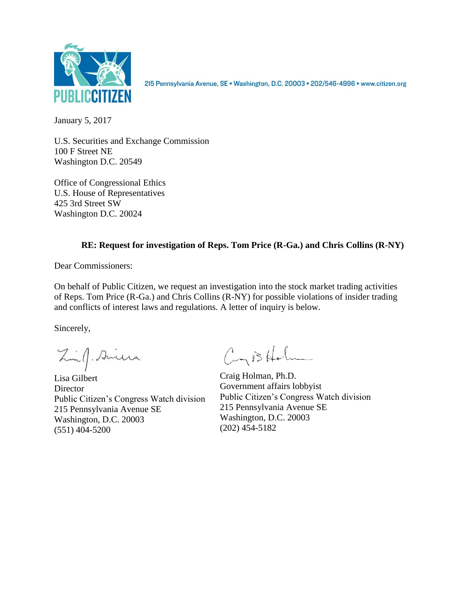

215 Pennsylvania Avenue, SE · Washington, D.C. 20003 · 202/546-4996 · www.citizen.org

January 5, 2017

U.S. Securities and Exchange Commission 100 F Street NE Washington D.C. 20549

Office of Congressional Ethics U.S. House of Representatives 425 3rd Street SW Washington D.C. 20024

## **RE: Request for investigation of Reps. Tom Price (R-Ga.) and Chris Collins (R-NY)**

Dear Commissioners:

On behalf of Public Citizen, we request an investigation into the stock market trading activities of Reps. Tom Price (R-Ga.) and Chris Collins (R-NY) for possible violations of insider trading and conflicts of interest laws and regulations. A letter of inquiry is below.

Sincerely,

Zinf. Siniera

Lisa Gilbert **Director** Public Citizen's Congress Watch division 215 Pennsylvania Avenue SE Washington, D.C. 20003 (551) 404-5200

CyBHolm

Craig Holman, Ph.D. Government affairs lobbyist Public Citizen's Congress Watch division 215 Pennsylvania Avenue SE Washington, D.C. 20003 (202) 454-5182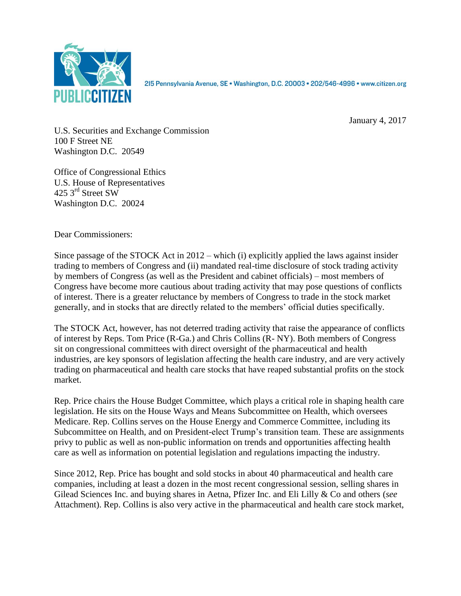

215 Pennsylvania Avenue, SE · Washington, D.C. 20003 · 202/546-4996 · www.citizen.org

January 4, 2017

U.S. Securities and Exchange Commission 100 F Street NE Washington D.C. 20549

Office of Congressional Ethics U.S. House of Representatives 425 3<sup>rd</sup> Street SW Washington D.C. 20024

Dear Commissioners:

Since passage of the STOCK Act in 2012 – which (i) explicitly applied the laws against insider trading to members of Congress and (ii) mandated real-time disclosure of stock trading activity by members of Congress (as well as the President and cabinet officials) – most members of Congress have become more cautious about trading activity that may pose questions of conflicts of interest. There is a greater reluctance by members of Congress to trade in the stock market generally, and in stocks that are directly related to the members' official duties specifically.

The STOCK Act, however, has not deterred trading activity that raise the appearance of conflicts of interest by Reps. Tom Price (R-Ga.) and Chris Collins (R- NY). Both members of Congress sit on congressional committees with direct oversight of the pharmaceutical and health industries, are key sponsors of legislation affecting the health care industry, and are very actively trading on pharmaceutical and health care stocks that have reaped substantial profits on the stock market.

Rep. Price chairs the House Budget Committee, which plays a critical role in shaping health care legislation. He sits on the House Ways and Means Subcommittee on Health, which oversees Medicare. Rep. Collins serves on the House Energy and Commerce Committee, including its Subcommittee on Health, and on President-elect Trump's transition team. These are assignments privy to public as well as non-public information on trends and opportunities affecting health care as well as information on potential legislation and regulations impacting the industry.

Since 2012, Rep. Price has bought and sold stocks in about 40 pharmaceutical and health care companies, including at least a dozen in the most recent congressional session, selling shares in Gilead Sciences Inc. and buying shares in Aetna, Pfizer Inc. and Eli Lilly & Co and others (*see* Attachment). Rep. Collins is also very active in the pharmaceutical and health care stock market,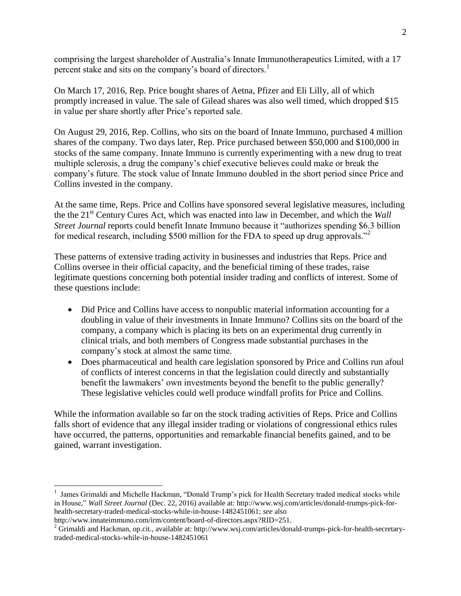comprising the largest shareholder of Australia's Innate Immunotherapeutics Limited, with a 17 percent stake and sits on the company's board of directors.<sup>1</sup>

On March 17, 2016, Rep. Price bought shares of Aetna, Pfizer and Eli Lilly, all of which promptly increased in value. The sale of Gilead shares was also well timed, which dropped \$15 in value per share shortly after Price's reported sale.

On August 29, 2016, Rep. Collins, who sits on the board of Innate Immuno, purchased 4 million shares of the company. Two days later, Rep. Price purchased between \$50,000 and \$100,000 in stocks of the same company. Innate Immuno is currently experimenting with a new drug to treat multiple sclerosis, a drug the company's chief executive believes could make or break the company's future. The stock value of Innate Immuno doubled in the short period since Price and Collins invested in the company.

At the same time, Reps. Price and Collins have sponsored several legislative measures, including the the 21st Century Cures Act, which was enacted into law in December, and which the *Wall Street Journal* reports could benefit Innate Immuno because it "authorizes spending \$6.3 billion for medical research, including \$500 million for the FDA to speed up drug approvals."<sup>2</sup>

These patterns of extensive trading activity in businesses and industries that Reps. Price and Collins oversee in their official capacity, and the beneficial timing of these trades, raise legitimate questions concerning both potential insider trading and conflicts of interest. Some of these questions include:

- Did Price and Collins have access to nonpublic material information accounting for a doubling in value of their investments in Innate Immuno? Collins sits on the board of the company, a company which is placing its bets on an experimental drug currently in clinical trials, and both members of Congress made substantial purchases in the company's stock at almost the same time.
- Does pharmaceutical and health care legislation sponsored by Price and Collins run afoul of conflicts of interest concerns in that the legislation could directly and substantially benefit the lawmakers' own investments beyond the benefit to the public generally? These legislative vehicles could well produce windfall profits for Price and Collins.

While the information available so far on the stock trading activities of Reps. Price and Collins falls short of evidence that any illegal insider trading or violations of congressional ethics rules have occurred, the patterns, opportunities and remarkable financial benefits gained, and to be gained, warrant investigation.

 $\overline{a}$ 

<sup>1</sup> James Grimaldi and Michelle Hackman, "Donald Trump's pick for Health Secretary traded medical stocks while in House," *Wall Street Journal* (Dec. 22, 2016) available at: http://www.wsj.com/articles/donald-trumps-pick-forhealth-secretary-traded-medical-stocks-while-in-house-1482451061; *see* also

http://www.innateimmuno.com/irm/content/board-of-directors.aspx?RID=251.

<sup>&</sup>lt;sup>2</sup> Grimaldi and Hackman, op.cit., available at: http://www.wsj.com/articles/donald-trumps-pick-for-health-secretarytraded-medical-stocks-while-in-house-1482451061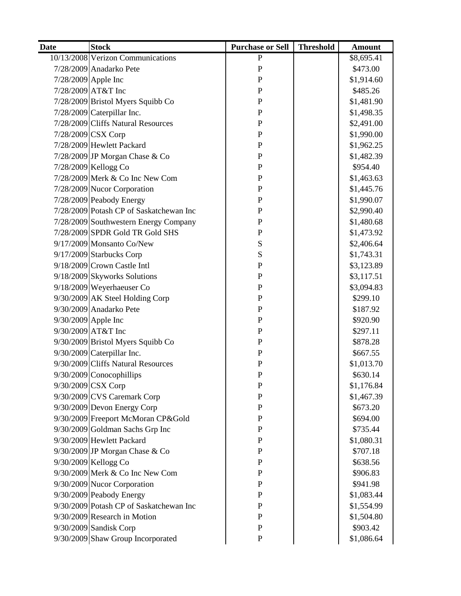| <b>Date</b>         | <b>Stock</b>                            | <b>Purchase or Sell</b> | <b>Threshold</b> | <b>Amount</b> |
|---------------------|-----------------------------------------|-------------------------|------------------|---------------|
|                     | 10/13/2008 Verizon Communications       | $\mathbf{P}$            |                  | \$8,695.41    |
|                     | 7/28/2009 Anadarko Pete                 | P                       |                  | \$473.00      |
|                     | 7/28/2009 Apple Inc                     | $\mathbf P$             |                  | \$1,914.60    |
|                     | 7/28/2009 AT&T Inc                      | $\mathbf{P}$            |                  | \$485.26      |
|                     | 7/28/2009 Bristol Myers Squibb Co       | $\mathbf P$             |                  | \$1,481.90    |
|                     | $7/28/2009$ Caterpillar Inc.            | $\mathbf P$             |                  | \$1,498.35    |
|                     | 7/28/2009 Cliffs Natural Resources      | $\mathbf{P}$            |                  | \$2,491.00    |
|                     | 7/28/2009 CSX Corp                      | $\mathbf P$             |                  | \$1,990.00    |
|                     | 7/28/2009 Hewlett Packard               | $\mathbf{P}$            |                  | \$1,962.25    |
|                     | 7/28/2009 JP Morgan Chase & Co          | $\mathbf P$             |                  | \$1,482.39    |
|                     | 7/28/2009 Kellogg Co                    | $\mathbf{P}$            |                  | \$954.40      |
|                     | 7/28/2009 Merk & Co Inc New Com         | $\mathbf P$             |                  | \$1,463.63    |
|                     | 7/28/2009 Nucor Corporation             | $\mathbf{P}$            |                  | \$1,445.76    |
|                     | 7/28/2009 Peabody Energy                | $\mathbf{P}$            |                  | \$1,990.07    |
|                     | 7/28/2009 Potash CP of Saskatchewan Inc | $\mathbf P$             |                  | \$2,990.40    |
|                     | 7/28/2009 Southwestern Energy Company   | $\mathbf{P}$            |                  | \$1,480.68    |
|                     | 7/28/2009 SPDR Gold TR Gold SHS         | ${\bf P}$               |                  | \$1,473.92    |
|                     | 9/17/2009 Monsanto Co/New               | S                       |                  | \$2,406.64    |
|                     | $9/17/2009$ Starbucks Corp              | S                       |                  | \$1,743.31    |
|                     | $9/18/2009$ Crown Castle Intl           | $\mathbf P$             |                  | \$3,123.89    |
|                     | 9/18/2009 Skyworks Solutions            | $\mathbf{P}$            |                  | \$3,117.51    |
|                     | 9/18/2009 Weyerhaeuser Co               | $\mathbf P$             |                  | \$3,094.83    |
|                     | $9/30/2009$ AK Steel Holding Corp       | $\mathbf{P}$            |                  | \$299.10      |
|                     | 9/30/2009 Anadarko Pete                 | $\mathbf{P}$            |                  | \$187.92      |
| 9/30/2009 Apple Inc |                                         | $\mathbf P$             |                  | \$920.90      |
|                     | 9/30/2009 AT&T Inc                      | $\mathbf{P}$            |                  | \$297.11      |
|                     | 9/30/2009 Bristol Myers Squibb Co       | $\mathbf{P}$            |                  | \$878.28      |
|                     | $9/30/2009$ Caterpillar Inc.            | $\mathbf{P}$            |                  | \$667.55      |
|                     | 9/30/2009 Cliffs Natural Resources      | $\mathbf{P}$            |                  | \$1,013.70    |
|                     | 9/30/2009 Conocophillips                | $\mathbf{P}$            |                  | \$630.14      |
|                     | $9/30/2009$ CSX Corp                    | $\mathbf P$             |                  | \$1,176.84    |
|                     | $9/30/2009$ CVS Caremark Corp           | $\mathbf{P}$            |                  | \$1,467.39    |
|                     | $9/30/2009$ Devon Energy Corp           | $\mathbf{P}$            |                  | \$673.20      |
|                     | 9/30/2009 Freeport McMoran CP&Gold      | ${\bf P}$               |                  | \$694.00      |
|                     | $9/30/2009$ Goldman Sachs Grp Inc       | $\mathbf P$             |                  | \$735.44      |
|                     | 9/30/2009 Hewlett Packard               | ${\bf P}$               |                  | \$1,080.31    |
|                     | $9/30/2009$ JP Morgan Chase & Co        | $\mathbf P$             |                  | \$707.18      |
|                     | 9/30/2009 Kellogg Co                    | ${\bf P}$               |                  | \$638.56      |
|                     | 9/30/2009 Merk & Co Inc New Com         | ${\bf P}$               |                  | \$906.83      |
|                     | 9/30/2009 Nucor Corporation             | $\mathbf{P}$            |                  | \$941.98      |
|                     | 9/30/2009 Peabody Energy                | ${\bf P}$               |                  | \$1,083.44    |
|                     | 9/30/2009 Potash CP of Saskatchewan Inc | $\mathbf P$             |                  | \$1,554.99    |
|                     | 9/30/2009 Research in Motion            | $\mathbf P$             |                  | \$1,504.80    |
|                     | 9/30/2009 Sandisk Corp                  | $\mathbf{P}$            |                  | \$903.42      |
|                     | 9/30/2009 Shaw Group Incorporated       | $\mathbf{P}$            |                  | \$1,086.64    |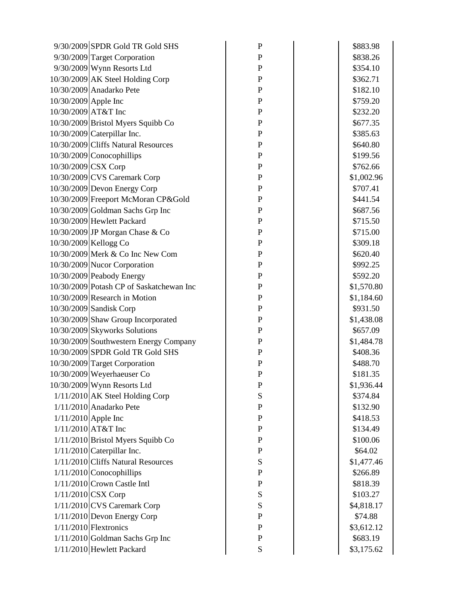|                      | 9/30/2009 SPDR Gold TR Gold SHS          | $\mathbf P$  | \$883.98   |
|----------------------|------------------------------------------|--------------|------------|
|                      | 9/30/2009 Target Corporation             | $\mathbf P$  | \$838.26   |
|                      | 9/30/2009 Wynn Resorts Ltd               | $\mathbf P$  | \$354.10   |
|                      | 10/30/2009 AK Steel Holding Corp         | $\mathbf P$  | \$362.71   |
|                      | 10/30/2009 Anadarko Pete                 | $\mathbf{P}$ | \$182.10   |
| 10/30/2009 Apple Inc |                                          | $\mathbf{P}$ | \$759.20   |
| 10/30/2009 AT&T Inc  |                                          | $\mathbf P$  | \$232.20   |
|                      | 10/30/2009 Bristol Myers Squibb Co       | $\mathbf P$  | \$677.35   |
|                      | 10/30/2009 Caterpillar Inc.              | $\mathbf P$  | \$385.63   |
|                      | 10/30/2009 Cliffs Natural Resources      | $\mathbf P$  | \$640.80   |
|                      | 10/30/2009 Conocophillips                | $\mathbf{P}$ | \$199.56   |
| 10/30/2009 CSX Corp  |                                          | $\mathbf P$  | \$762.66   |
|                      | 10/30/2009 CVS Caremark Corp             | $\mathbf P$  | \$1,002.96 |
|                      | 10/30/2009 Devon Energy Corp             | $\mathbf P$  | \$707.41   |
|                      | 10/30/2009 Freeport McMoran CP&Gold      | $\mathbf P$  | \$441.54   |
|                      | 10/30/2009 Goldman Sachs Grp Inc         | $\mathbf P$  | \$687.56   |
|                      | 10/30/2009 Hewlett Packard               | $\mathbf P$  | \$715.50   |
|                      | 10/30/2009 JP Morgan Chase & Co          | $\mathbf{P}$ | \$715.00   |
|                      | 10/30/2009 Kellogg Co                    | $\mathbf P$  | \$309.18   |
|                      | 10/30/2009 Merk & Co Inc New Com         | $\mathbf P$  | \$620.40   |
|                      | 10/30/2009 Nucor Corporation             | $\mathbf P$  | \$992.25   |
|                      | 10/30/2009 Peabody Energy                | $\mathbf P$  | \$592.20   |
|                      | 10/30/2009 Potash CP of Saskatchewan Inc | $\mathbf P$  | \$1,570.80 |
|                      | 10/30/2009 Research in Motion            | P            | \$1,184.60 |
|                      | 10/30/2009 Sandisk Corp                  | $\mathbf{P}$ | \$931.50   |
|                      | 10/30/2009 Shaw Group Incorporated       | $\mathbf P$  | \$1,438.08 |
|                      | 10/30/2009 Skyworks Solutions            | $\mathbf P$  | \$657.09   |
|                      | 10/30/2009 Southwestern Energy Company   | $\mathbf P$  | \$1,484.78 |
|                      | 10/30/2009 SPDR Gold TR Gold SHS         | $\mathbf{P}$ | \$408.36   |
|                      | 10/30/2009 Target Corporation            | $\mathbf P$  | \$488.70   |
|                      | 10/30/2009 Weyerhaeuser Co               | $\mathbf P$  | \$181.35   |
|                      | $10/30/2009$ Wynn Resorts Ltd            | $\mathbf P$  | \$1,936.44 |
|                      | $1/11/2010$ AK Steel Holding Corp        | S            | \$374.84   |
|                      | $1/11/2010$ Anadarko Pete                | ${\bf P}$    | \$132.90   |
|                      | $1/11/2010$ Apple Inc                    | ${\bf P}$    | \$418.53   |
|                      | $1/11/2010$ AT&T Inc                     | ${\bf P}$    | \$134.49   |
|                      | 1/11/2010 Bristol Myers Squibb Co        | $\mathbf P$  | \$100.06   |
|                      | $1/11/2010$ Caterpillar Inc.             | ${\bf P}$    | \$64.02    |
|                      | 1/11/2010 Cliffs Natural Resources       | S            | \$1,477.46 |
|                      | $1/11/2010$ Conocophillips               | ${\bf P}$    | \$266.89   |
|                      | $1/11/2010$ Crown Castle Intl            | ${\bf P}$    | \$818.39   |
|                      | $1/11/2010$ CSX Corp                     | S            | \$103.27   |
|                      | $1/11/2010$ CVS Caremark Corp            | S            | \$4,818.17 |
|                      | $1/11/2010$ Devon Energy Corp            | ${\bf P}$    | \$74.88    |
|                      | $1/11/2010$ Flextronics                  | $\mathbf P$  | \$3,612.12 |
|                      | $1/11/2010$ Goldman Sachs Grp Inc        | $\mathbf P$  | \$683.19   |
|                      | 1/11/2010 Hewlett Packard                | ${\bf S}$    | \$3,175.62 |
|                      |                                          |              |            |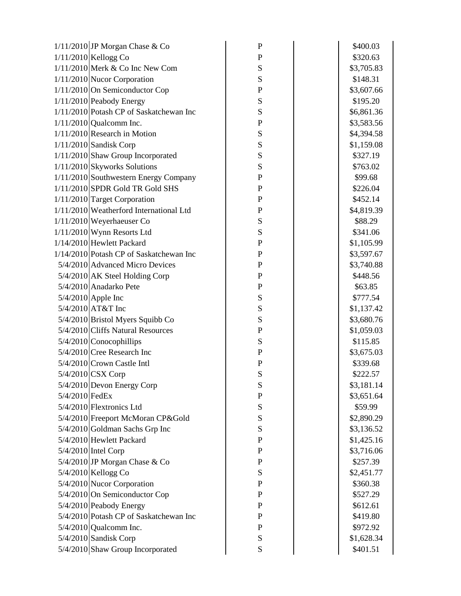| $1/11/2010$ JP Morgan Chase & Co          | $\mathbf{P}$ | \$400.03   |
|-------------------------------------------|--------------|------------|
| $1/11/2010$ Kellogg Co                    | $\mathbf P$  | \$320.63   |
| $1/11/2010$ Merk & Co Inc New Com         | S            | \$3,705.83 |
| 1/11/2010 Nucor Corporation               | S            | \$148.31   |
| 1/11/2010 On Semiconductor Cop            | $\mathbf P$  | \$3,607.66 |
| $1/11/2010$ Peabody Energy                | ${\bf S}$    | \$195.20   |
| $1/11/2010$ Potash CP of Saskatchewan Inc | S            | \$6,861.36 |
| $1/11/2010$ Qualcomm Inc.                 | $\mathbf P$  | \$3,583.56 |
| $1/11/2010$ Research in Motion            | S            | \$4,394.58 |
| $1/11/2010$ Sandisk Corp                  | S            | \$1,159.08 |
| 1/11/2010 Shaw Group Incorporated         | ${\bf S}$    | \$327.19   |
| $1/11/2010$ Skyworks Solutions            | ${\bf S}$    | \$763.02   |
| 1/11/2010 Southwestern Energy Company     | $\mathbf P$  | \$99.68    |
| $1/11/2010$ SPDR Gold TR Gold SHS         | $\mathbf P$  | \$226.04   |
| 1/11/2010 Target Corporation              | $\mathbf P$  | \$452.14   |
| 1/11/2010 Weatherford International Ltd   | $\mathbf P$  | \$4,819.39 |
| $1/11/2010$ Weyerhaeuser Co               | ${\bf S}$    | \$88.29    |
| $1/11/2010$ Wynn Resorts Ltd              | ${\bf S}$    | \$341.06   |
| 1/14/2010 Hewlett Packard                 | ${\bf P}$    | \$1,105.99 |
| 1/14/2010 Potash CP of Saskatchewan Inc   | $\mathbf P$  | \$3,597.67 |
| 5/4/2010 Advanced Micro Devices           | $\mathbf P$  | \$3,740.88 |
| $5/4/2010$ AK Steel Holding Corp          | ${\bf P}$    | \$448.56   |
| 5/4/2010 Anadarko Pete                    | $\mathbf{P}$ | \$63.85    |
| $5/4/2010$ Apple Inc                      | S            | \$777.54   |
| $5/4/2010$ AT&T Inc                       | ${\bf S}$    | \$1,137.42 |
| $5/4/2010$ Bristol Myers Squibb Co        | ${\bf S}$    | \$3,680.76 |
| $5/4/2010$ Cliffs Natural Resources       | $\mathbf P$  | \$1,059.03 |
| $5/4/2010$ Conocophillips                 | S            | \$115.85   |
| $5/4/2010$ Cree Research Inc              | $\mathbf P$  | \$3,675.03 |
| $5/4/2010$ Crown Castle Intl              | $\mathbf P$  | \$339.68   |
| 5/4/2010 CSX Corp                         | S            | \$222.57   |
| 5/4/2010 Devon Energy Corp                | S            | \$3,181.14 |
| 5/4/2010 FedEx                            | $\mathbf P$  | \$3,651.64 |
| 5/4/2010 Flextronics Ltd                  | ${\bf S}$    | \$59.99    |
| 5/4/2010 Freeport McMoran CP&Gold         | ${\bf S}$    | \$2,890.29 |
| $5/4/2010$ Goldman Sachs Grp Inc          | ${\bf S}$    | \$3,136.52 |
| 5/4/2010 Hewlett Packard                  | ${\bf P}$    | \$1,425.16 |
| $5/4/2010$ Intel Corp                     | ${\bf P}$    | \$3,716.06 |
| $5/4/2010$ JP Morgan Chase & Co           | ${\bf P}$    | \$257.39   |
| 5/4/2010 Kellogg Co                       | ${\bf S}$    | \$2,451.77 |
| 5/4/2010 Nucor Corporation                | ${\bf P}$    | \$360.38   |
| 5/4/2010 On Semiconductor Cop             | $\mathbf P$  | \$527.29   |
| 5/4/2010 Peabody Energy                   | ${\bf P}$    | \$612.61   |
| 5/4/2010 Potash CP of Saskatchewan Inc    | $\mathbf P$  | \$419.80   |
| $5/4/2010$ Qualcomm Inc.                  | ${\bf P}$    | \$972.92   |
| $5/4/2010$ Sandisk Corp                   | ${\bf S}$    | \$1,628.34 |
| 5/4/2010 Shaw Group Incorporated          | ${\bf S}$    | \$401.51   |
|                                           |              |            |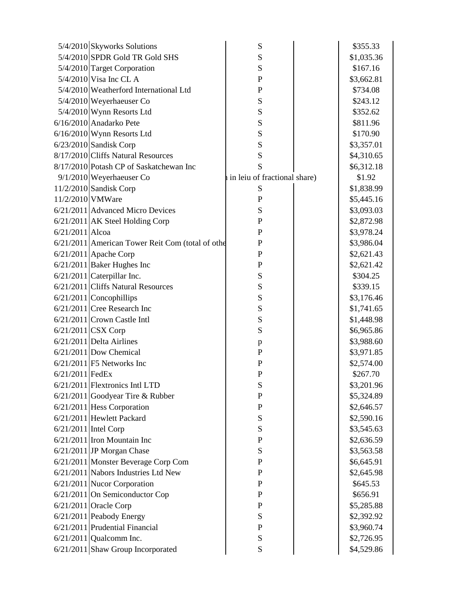|                        | 5/4/2010 Skyworks Solutions                      | S                            | \$355.33   |
|------------------------|--------------------------------------------------|------------------------------|------------|
|                        | $5/4/2010$ SPDR Gold TR Gold SHS                 | S                            | \$1,035.36 |
|                        | 5/4/2010 Target Corporation                      | S                            | \$167.16   |
|                        | 5/4/2010 Visa Inc CL A                           | $\mathbf{P}$                 | \$3,662.81 |
|                        | 5/4/2010 Weatherford International Ltd           | $\mathbf{P}$                 | \$734.08   |
|                        | 5/4/2010 Weyerhaeuser Co                         | ${\bf S}$                    | \$243.12   |
|                        | 5/4/2010 Wynn Resorts Ltd                        | S                            | \$352.62   |
|                        | 6/16/2010 Anadarko Pete                          | S                            | \$811.96   |
|                        | $6/16/2010$ Wynn Resorts Ltd                     | S                            | \$170.90   |
|                        | $6/23/2010$ Sandisk Corp                         | S                            | \$3,357.01 |
|                        | 8/17/2010 Cliffs Natural Resources               | S                            | \$4,310.65 |
|                        | 8/17/2010 Potash CP of Saskatchewan Inc          | S                            | \$6,312.18 |
|                        | $9/1/2010$ Weyerhaeuser Co                       | in leiu of fractional share) | \$1.92     |
|                        | 11/2/2010 Sandisk Corp                           | S                            | \$1,838.99 |
| 11/2/2010 VMWare       |                                                  | $\mathbf{P}$                 | \$5,445.16 |
|                        | 6/21/2011 Advanced Micro Devices                 | S                            | \$3,093.03 |
|                        | 6/21/2011 AK Steel Holding Corp                  | $\mathbf{P}$                 | \$2,872.98 |
| $6/21/2011$ Alcoa      |                                                  | $\mathbf{P}$                 | \$3,978.24 |
|                        | 6/21/2011 American Tower Reit Com (total of othe | $\mathbf{P}$                 | \$3,986.04 |
|                        | $6/21/2011$ Apache Corp                          | $\mathbf P$                  | \$2,621.43 |
|                        | $6/21/2011$ Baker Hughes Inc                     | $\mathbf{P}$                 | \$2,621.42 |
|                        | $6/21/2011$ Caterpillar Inc.                     | S                            | \$304.25   |
|                        | 6/21/2011 Cliffs Natural Resources               | S                            | \$339.15   |
|                        | 6/21/2011 Concophillips                          | S                            | \$3,176.46 |
|                        | $6/21/2011$ Cree Research Inc                    | ${\bf S}$                    | \$1,741.65 |
|                        | $6/21/2011$ Crown Castle Intl                    | S                            | \$1,448.98 |
|                        | $6/21/2011$ CSX Corp                             | S                            | \$6,965.86 |
|                        | $6/21/2011$ Delta Airlines                       | p                            | \$3,988.60 |
|                        | $6/21/2011$ Dow Chemical                         | $\mathbf{P}$                 | \$3,971.85 |
|                        | $6/21/2011$ F5 Networks Inc                      | P                            | \$2,574.00 |
| 6/21/2011 FedEx        |                                                  | $\mathbf P$                  | \$267.70   |
|                        | $6/21/2011$ Flextronics Intl LTD                 | S                            | \$3,201.96 |
|                        | $6/21/2011$ Goodyear Tire & Rubber               | $\mathbf P$                  | \$5,324.89 |
|                        | $6/21/2011$ Hess Corporation                     | $\mathbf P$                  | \$2,646.57 |
|                        | 6/21/2011 Hewlett Packard                        | S                            | \$2,590.16 |
| $6/21/2011$ Intel Corp |                                                  | S                            | \$3,545.63 |
|                        | $6/21/2011$ Iron Mountain Inc                    | $\mathbf P$                  | \$2,636.59 |
|                        | $6/21/2011$ JP Morgan Chase                      | S                            | \$3,563.58 |
|                        | 6/21/2011 Monster Beverage Corp Com              | ${\bf P}$                    | \$6,645.91 |
|                        | 6/21/2011 Nabors Industries Ltd New              | $\mathbf P$                  | \$2,645.98 |
|                        | $6/21/2011$ Nucor Corporation                    | ${\bf P}$                    | \$645.53   |
|                        | 6/21/2011 On Semiconductor Cop                   | $\mathbf P$                  | \$656.91   |
|                        | $6/21/2011$ Oracle Corp                          | ${\bf P}$                    | \$5,285.88 |
|                        | $6/21/2011$ Peabody Energy                       | ${\bf S}$                    | \$2,392.92 |
|                        | $6/21/2011$ Prudential Financial                 | $\mathbf P$                  | \$3,960.74 |
|                        | $6/21/2011$ Qualcomm Inc.                        | S                            | \$2,726.95 |
|                        | $6/21/2011$ Shaw Group Incorporated              | ${\bf S}$                    | \$4,529.86 |
|                        |                                                  |                              |            |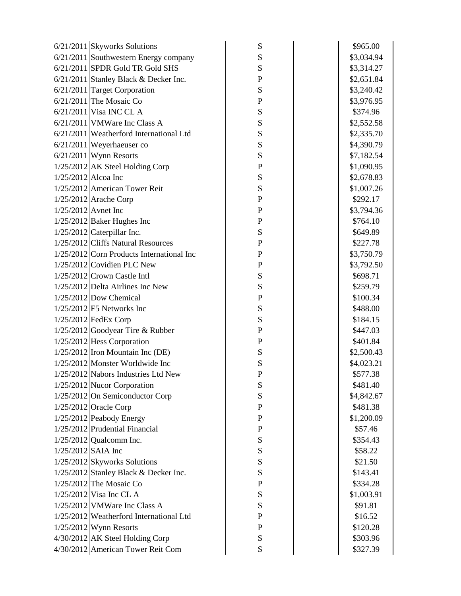|                       | $6/21/2011$ Skyworks Solutions              | ${\bf S}$   | \$965.00   |
|-----------------------|---------------------------------------------|-------------|------------|
|                       | $6/21/2011$ Southwestern Energy company     | ${\bf S}$   | \$3,034.94 |
|                       | $6/21/2011$ SPDR Gold TR Gold SHS           | S           | \$3,314.27 |
|                       | $6/21/2011$ Stanley Black & Decker Inc.     | ${\bf P}$   | \$2,651.84 |
|                       | 6/21/2011 Target Corporation                | S           | \$3,240.42 |
|                       | $6/21/2011$ The Mosaic Co                   | ${\bf P}$   | \$3,976.95 |
|                       | $6/21/2011$ Visa INC CL A                   | S           | \$374.96   |
|                       | $6/21/2011$ VMW are Inc Class A             | ${\bf S}$   | \$2,552.58 |
|                       | 6/21/2011 Weatherford International Ltd     | ${\bf S}$   | \$2,335.70 |
|                       | $6/21/2011$ Weyerhaeuser co                 | S           | \$4,390.79 |
|                       | $6/21/2011$ Wynn Resorts                    | ${\bf S}$   | \$7,182.54 |
|                       | 1/25/2012 AK Steel Holding Corp             | $\mathbf P$ | \$1,090.95 |
| $1/25/2012$ Alcoa Inc |                                             | S           | \$2,678.83 |
|                       | $1/25/2012$ American Tower Reit             | S           | \$1,007.26 |
|                       | $1/25/2012$ Arache Corp                     | ${\bf P}$   | \$292.17   |
| $1/25/2012$ Avnet Inc |                                             | $\mathbf P$ | \$3,794.36 |
|                       | $1/25/2012$ Baker Hughes Inc                | ${\bf P}$   | \$764.10   |
|                       | $1/25/2012$ Caterpillar Inc.                | ${\bf S}$   | \$649.89   |
|                       | 1/25/2012 Cliffs Natural Resources          | $\mathbf P$ | \$227.78   |
|                       | $1/25/2012$ Corn Products International Inc | ${\bf P}$   | \$3,750.79 |
|                       | 1/25/2012 Covidien PLC New                  | $\mathbf P$ | \$3,792.50 |
|                       | $1/25/2012$ Crown Castle Intl               | S           | \$698.71   |
|                       | $1/25/2012$ Delta Airlines Inc New          | ${\bf S}$   | \$259.79   |
|                       | $1/25/2012$ Dow Chemical                    | ${\bf P}$   | \$100.34   |
|                       | $1/25/2012$ F5 Networks Inc                 | S           | \$488.00   |
|                       | $1/25/2012$ FedEx Corp                      | S           | \$184.15   |
|                       | $1/25/2012$ Goodyear Tire & Rubber          | $\mathbf P$ | \$447.03   |
|                       | $1/25/2012$ Hess Corporation                | $\mathbf P$ | \$401.84   |
|                       | $1/25/2012$ Iron Mountain Inc (DE)          | S           | \$2,500.43 |
|                       | $1/25/2012$ Monster Worldwide Inc           | S           | \$4,023.21 |
|                       | 1/25/2012 Nabors Industries Ltd New         | $\mathbf P$ | \$577.38   |
|                       | $1/25/2012$ Nucor Corporation               | S           | \$481.40   |
|                       | $1/25/2012$ On Semiconductor Corp           | S           | \$4,842.67 |
|                       | $1/25/2012$ Oracle Corp                     | $\mathbf P$ | \$481.38   |
|                       | $1/25/2012$ Peabody Energy                  | ${\bf P}$   | \$1,200.09 |
|                       | $1/25/2012$ Prudential Financial            | ${\bf P}$   | \$57.46    |
|                       | $1/25/2012$ Qualcomm Inc.                   | ${\bf S}$   | \$354.43   |
| $1/25/2012$ SAIA Inc  |                                             | S           | \$58.22    |
|                       | 1/25/2012 Skyworks Solutions                | ${\bf S}$   | \$21.50    |
|                       | 1/25/2012 Stanley Black & Decker Inc.       | ${\bf S}$   | \$143.41   |
|                       | $1/25/2012$ The Mosaic Co                   | ${\bf P}$   | \$334.28   |
|                       | $1/25/2012$ Visa Inc CL A                   | ${\bf S}$   | \$1,003.91 |
|                       | $1/25/2012$ VMW are Inc Class A             | ${\bf S}$   | \$91.81    |
|                       | 1/25/2012 Weatherford International Ltd     | $\mathbf P$ | \$16.52    |
|                       | $1/25/2012$ Wynn Resorts                    | $\mathbf P$ | \$120.28   |
|                       | 4/30/2012 AK Steel Holding Corp             | ${\bf S}$   | \$303.96   |
|                       | 4/30/2012 American Tower Reit Com           | S           | \$327.39   |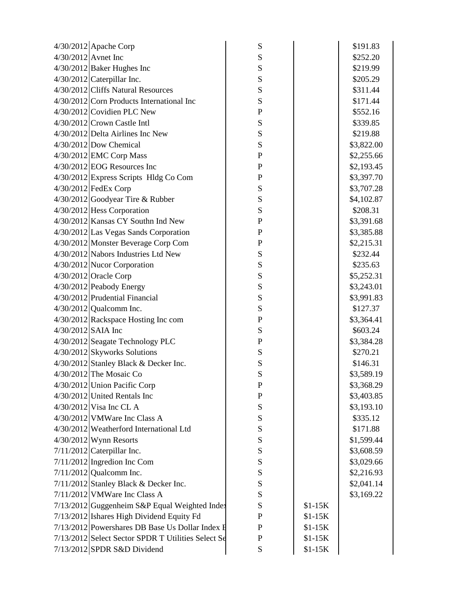|                       | $4/30/2012$ Apache Corp                            | ${\bf S}$    |          | \$191.83   |
|-----------------------|----------------------------------------------------|--------------|----------|------------|
| $4/30/2012$ Avnet Inc |                                                    | ${\bf S}$    |          | \$252.20   |
|                       | 4/30/2012 Baker Hughes Inc                         | S            |          | \$219.99   |
|                       | $4/30/2012$ Caterpillar Inc.                       | ${\bf S}$    |          | \$205.29   |
|                       | 4/30/2012 Cliffs Natural Resources                 | S            |          | \$311.44   |
|                       | 4/30/2012 Corn Products International Inc          | S            |          | \$171.44   |
|                       | $4/30/2012$ Covidien PLC New                       | $\mathbf P$  |          | \$552.16   |
|                       | 4/30/2012 Crown Castle Intl                        | ${\bf S}$    |          | \$339.85   |
|                       | $4/30/2012$ Delta Airlines Inc New                 | S            |          | \$219.88   |
|                       | $4/30/2012$ Dow Chemical                           | S            |          | \$3,822.00 |
|                       | 4/30/2012 EMC Corp Mass                            | ${\bf P}$    |          | \$2,255.66 |
|                       | $4/30/2012$ EOG Resources Inc                      | $\mathbf P$  |          | \$2,193.45 |
|                       | 4/30/2012 Express Scripts Hldg Co Com              | $\mathbf P$  |          | \$3,397.70 |
|                       | $4/30/2012$ FedEx Corp                             | S            |          | \$3,707.28 |
|                       | $4/30/2012$ Goodyear Tire & Rubber                 | S            |          | \$4,102.87 |
|                       | $4/30/2012$ Hess Corporation                       | S            |          | \$208.31   |
|                       | $4/30/2012$ Kansas CY Southn Ind New               | ${\bf P}$    |          | \$3,391.68 |
|                       | $4/30/2012$ Las Vegas Sands Corporation            | $\mathbf P$  |          | \$3,385.88 |
|                       | 4/30/2012 Monster Beverage Corp Com                | $\mathbf P$  |          | \$2,215.31 |
|                       | 4/30/2012 Nabors Industries Ltd New                | S            |          | \$232.44   |
|                       | $4/30/2012$ Nucor Corporation                      | S            |          | \$235.63   |
|                       | $4/30/2012$ Oracle Corp                            | S            |          | \$5,252.31 |
|                       | 4/30/2012 Peabody Energy                           | ${\bf S}$    |          | \$3,243.01 |
|                       | 4/30/2012 Prudential Financial                     | ${\bf S}$    |          | \$3,991.83 |
|                       | $4/30/2012$ Qualcomm Inc.                          | S            |          | \$127.37   |
|                       | $4/30/2012$ Rackspace Hosting Inc com              | $\mathbf P$  |          | \$3,364.41 |
| 4/30/2012 SAIA Inc    |                                                    | S            |          | \$603.24   |
|                       | 4/30/2012 Seagate Technology PLC                   | $\mathbf P$  |          | \$3,384.28 |
|                       | 4/30/2012 Skyworks Solutions                       | S            |          | \$270.21   |
|                       | $4/30/2012$ Stanley Black & Decker Inc.            | S            |          | \$146.31   |
|                       | $4/30/2012$ The Mosaic Co                          | S            |          | \$3,589.19 |
|                       | 4/30/2012 Union Pacific Corp                       | $\mathbf{P}$ |          | \$3,368.29 |
|                       | $4/30/2012$ United Rentals Inc                     | ${\bf P}$    |          | \$3,403.85 |
|                       | 4/30/2012 Visa Inc CL A                            | ${\bf S}$    |          | \$3,193.10 |
|                       | $4/30/2012$ VMW are Inc Class A                    | ${\bf S}$    |          | \$335.12   |
|                       | 4/30/2012 Weatherford International Ltd            | ${\bf S}$    |          | \$171.88   |
|                       | $4/30/2012$ Wynn Resorts                           | ${\bf S}$    |          | \$1,599.44 |
|                       | $7/11/2012$ Caterpillar Inc.                       | S            |          | \$3,608.59 |
|                       | $7/11/2012$ Ingredion Inc Com                      | ${\bf S}$    |          | \$3,029.66 |
|                       | $7/11/2012$ Qualcomm Inc.                          | ${\bf S}$    |          | \$2,216.93 |
|                       | $7/11/2012$ Stanley Black & Decker Inc.            | ${\bf S}$    |          | \$2,041.14 |
|                       | 7/11/2012 VMWare Inc Class A                       | ${\bf S}$    |          | \$3,169.22 |
|                       | 7/13/2012 Guggenheim S&P Equal Weighted Index      | ${\bf S}$    | $$1-15K$ |            |
|                       | 7/13/2012 Ishares High Dividend Equity Fd          | $\mathbf P$  | $$1-15K$ |            |
|                       | 7/13/2012 Powershares DB Base Us Dollar Index F    | $\mathbf P$  | $$1-15K$ |            |
|                       | 7/13/2012 Select Sector SPDR T Utilities Select Se | $\mathbf P$  | $$1-15K$ |            |
|                       | $7/13/2012$ SPDR S&D Dividend                      | S            | $$1-15K$ |            |
|                       |                                                    |              |          |            |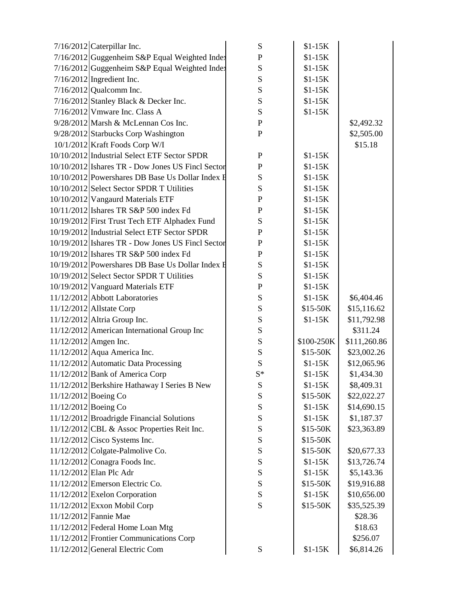|                      | $7/16/2012$ Caterpillar Inc.                                                             | S                      | $$1-15K$             |                           |
|----------------------|------------------------------------------------------------------------------------------|------------------------|----------------------|---------------------------|
|                      | 7/16/2012 Guggenheim S&P Equal Weighted Index                                            | ${\bf P}$              | $$1-15K$             |                           |
|                      | 7/16/2012 Guggenheim S&P Equal Weighted Index                                            | S                      | $$1-15K$             |                           |
|                      | $7/16/2012$ Ingredient Inc.                                                              | S                      | $$1-15K$             |                           |
|                      | $7/16/2012$ Qualcomm Inc.                                                                | ${\bf S}$              | $$1-15K$             |                           |
|                      | $7/16/2012$ Stanley Black & Decker Inc.                                                  | ${\bf S}$              | $$1-15K$             |                           |
|                      | $7/16/2012$ Vmware Inc. Class A                                                          | ${\bf S}$              | $$1-15K$             |                           |
|                      | $9/28/2012$ Marsh & McLennan Cos Inc.                                                    | $\mathbf P$            |                      | \$2,492.32                |
|                      | 9/28/2012 Starbucks Corp Washington                                                      | $\mathbf P$            |                      | \$2,505.00                |
|                      | $10/1/2012$ Kraft Foods Corp W/I                                                         |                        |                      | \$15.18                   |
|                      | 10/10/2012 Industrial Select ETF Sector SPDR                                             | $\mathbf{P}$           | $$1-15K$             |                           |
|                      | 10/10/2012 Ishares TR - Dow Jones US Fincl Sector                                        | ${\bf P}$              | $$1-15K$             |                           |
|                      | 10/10/2012 Powershares DB Base Us Dollar Index F                                         | S                      | $$1-15K$             |                           |
|                      | 10/10/2012 Select Sector SPDR T Utilities                                                | ${\bf S}$              | $$1-15K$             |                           |
|                      | 10/10/2012 Vangaurd Materials ETF                                                        | ${\bf P}$              | $$1-15K$             |                           |
|                      | 10/11/2012 Ishares TR S&P 500 index Fd                                                   | $\mathbf P$            | $$1-15K$             |                           |
|                      | 10/19/2012 First Trust Tech ETF Alphadex Fund                                            | ${\bf S}$              | $$1-15K$             |                           |
|                      | 10/19/2012 Industrial Select ETF Sector SPDR                                             | ${\bf P}$              | $$1-15K$             |                           |
|                      | 10/19/2012 Ishares TR - Dow Jones US Fincl Sector                                        | $\mathbf P$            | $$1-15K$             |                           |
|                      | 10/19/2012 Ishares TR S&P 500 index Fd                                                   | $\mathbf{P}$           | $$1-15K$             |                           |
|                      | 10/19/2012 Powershares DB Base Us Dollar Index H                                         | ${\bf S}$              | $$1-15K$             |                           |
|                      | 10/19/2012 Select Sector SPDR T Utilities                                                | ${\bf S}$              | $$1-15K$             |                           |
|                      | 10/19/2012 Vanguard Materials ETF                                                        | $\mathbf P$            | $$1-15K$             |                           |
|                      | 11/12/2012 Abbott Laboratories                                                           | ${\bf S}$              | $$1-15K$             | \$6,404.46                |
|                      | 11/12/2012 Allstate Corp                                                                 | ${\bf S}$              | $$15-50K$            | \$15,116.62               |
|                      | 11/12/2012 Altria Group Inc.                                                             | ${\bf S}$              | $$1-15K$             | \$11,792.98               |
|                      | 11/12/2012 American International Group Inc                                              | S                      |                      | \$311.24                  |
|                      | 11/12/2012 Amgen Inc.                                                                    | S                      | \$100-250K           | \$111,260.86              |
|                      | 11/12/2012 Aqua America Inc.                                                             | ${\bf S}$              | $$15-50K$            | \$23,002.26               |
|                      | 11/12/2012 Automatic Data Processing                                                     | S                      | $$1-15K$             | \$12,065.96               |
|                      | 11/12/2012 Bank of America Corp                                                          | $S^*$                  | $$1-15K$             | \$1,434.30                |
|                      | 11/12/2012 Berkshire Hathaway I Series B New                                             | S                      | $$1-15K$             | \$8,409.31                |
|                      | 11/12/2012 Boeing Co                                                                     | ${\bf S}$              | \$15-50K             | \$22,022.27               |
| 11/12/2012 Boeing Co |                                                                                          | ${\bf S}$              | $$1-15K$             | \$14,690.15               |
|                      | 11/12/2012 Broadrigde Financial Solutions<br>11/12/2012 CBL & Assoc Properties Reit Inc. | S                      | $$1-15K$             | \$1,187.37                |
|                      |                                                                                          | ${\bf S}$              | \$15-50K<br>\$15-50K | \$23,363.89               |
|                      | $11/12/2012$ Cisco Systems Inc.<br>$11/12/2012$ Colgate-Palmolive Co.                    | ${\bf S}$              |                      |                           |
|                      | $11/12/2012$ Conagra Foods Inc.                                                          | ${\bf S}$              | \$15-50K<br>$$1-15K$ | \$20,677.33               |
|                      | 11/12/2012 Elan Plc Adr                                                                  | ${\bf S}$              | $$1-15K$             | \$13,726.74<br>\$5,143.36 |
|                      | 11/12/2012 Emerson Electric Co.                                                          | ${\bf S}$<br>${\bf S}$ | \$15-50K             | \$19,916.88               |
|                      | 11/12/2012 Exelon Corporation                                                            | ${\bf S}$              | $$1-15K$             | \$10,656.00               |
|                      | 11/12/2012 Exxon Mobil Corp                                                              | S                      | \$15-50K             | \$35,525.39               |
|                      | 11/12/2012 Fannie Mae                                                                    |                        |                      | \$28.36                   |
|                      | 11/12/2012 Federal Home Loan Mtg                                                         |                        |                      | \$18.63                   |
|                      | 11/12/2012 Frontier Communications Corp                                                  |                        |                      | \$256.07                  |
|                      | 11/12/2012 General Electric Com                                                          | S                      | $$1-15K$             | \$6,814.26                |
|                      |                                                                                          |                        |                      |                           |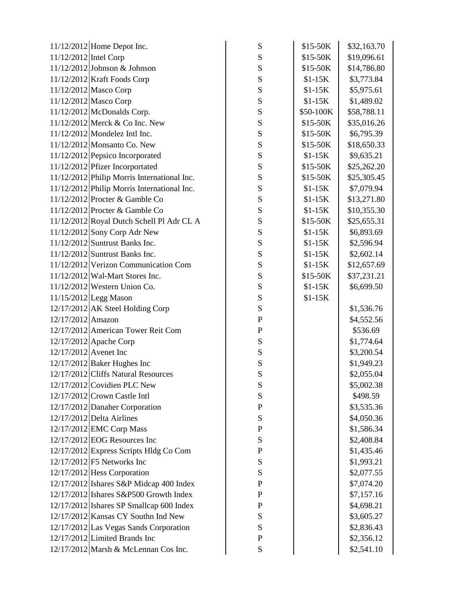|                         | 11/12/2012 Home Depot Inc.                  | ${\bf S}$   | \$15-50K  | \$32,163.70 |
|-------------------------|---------------------------------------------|-------------|-----------|-------------|
| 11/12/2012 Intel Corp   |                                             | ${\bf S}$   | \$15-50K  | \$19,096.61 |
|                         | $11/12/2012$ Johnson & Johnson              | ${\bf S}$   | \$15-50K  | \$14,786.80 |
|                         | $11/12/2012$ Kraft Foods Corp               | S           | $$1-15K$  | \$3,773.84  |
|                         | 11/12/2012 Masco Corp                       | ${\bf S}$   | $$1-15K$  | \$5,975.61  |
|                         | 11/12/2012 Masco Corp                       | ${\bf S}$   | $$1-15K$  | \$1,489.02  |
|                         | $11/12/2012$ McDonalds Corp.                | ${\bf S}$   | \$50-100K | \$58,788.11 |
|                         | $11/12/2012$ Merck & Co Inc. New            | ${\bf S}$   | \$15-50K  | \$35,016.26 |
|                         | $11/12/2012$ Mondelez Intl Inc.             | ${\bf S}$   | \$15-50K  | \$6,795.39  |
|                         | $11/12/2012$ Monsanto Co. New               | ${\bf S}$   | $$15-50K$ | \$18,650.33 |
|                         | 11/12/2012 Pepsico Incorporated             | ${\bf S}$   | $$1-15K$  | \$9,635.21  |
|                         | 11/12/2012 Pfizer Incorportated             | ${\bf S}$   | $$15-50K$ | \$25,262.20 |
|                         | 11/12/2012 Philip Morris International Inc. | ${\bf S}$   | \$15-50K  | \$25,305.45 |
|                         | 11/12/2012 Philip Morris International Inc. | S           | $$1-15K$  | \$7,079.94  |
|                         | $11/12/2012$ Procter & Gamble Co            | S           | $$1-15K$  | \$13,271.80 |
|                         | $11/12/2012$ Procter & Gamble Co            | ${\bf S}$   | $$1-15K$  | \$10,355.30 |
|                         | 11/12/2012 Royal Dutch Schell Pl Adr CL A   | ${\bf S}$   | $$15-50K$ | \$25,655.31 |
|                         | $11/12/2012$ Sony Corp Adr New              | ${\bf S}$   | $$1-15K$  | \$6,893.69  |
|                         | $11/12/2012$ Suntrust Banks Inc.            | ${\bf S}$   | $$1-15K$  | \$2,596.94  |
|                         | $11/12/2012$ Suntrust Banks Inc.            | ${\bf S}$   | $$1-15K$  | \$2,602.14  |
|                         | 11/12/2012 Verizon Communication Com        | S           | $$1-15K$  | \$12,657.69 |
|                         | $11/12/2012$ Wal-Mart Stores Inc.           | ${\bf S}$   | \$15-50K  | \$37,231.21 |
|                         | $11/12/2012$ Western Union Co.              | ${\bf S}$   | $$1-15K$  | \$6,699.50  |
|                         | $11/15/2012$ Legg Mason                     | ${\bf S}$   | $$1-15K$  |             |
|                         | 12/17/2012 AK Steel Holding Corp            | ${\bf S}$   |           | \$1,536.76  |
| $12/17/2012$ Amazon     |                                             | ${\bf P}$   |           | \$4,552.56  |
|                         | 12/17/2012 American Tower Reit Com          | ${\bf P}$   |           | \$536.69    |
|                         | $12/17/2012$ Apache Corp                    | S           |           | \$1,774.64  |
| $12/17/2012$ Avenet Inc |                                             | ${\bf S}$   |           | \$3,200.54  |
|                         | $12/17/2012$ Baker Hughes Inc               | ${\bf S}$   |           | \$1,949.23  |
|                         | 12/17/2012 Cliffs Natural Resources         | S           |           | \$2,055.04  |
|                         | $12/17/2012$ Covidien PLC New               | S           |           | \$5,002.38  |
|                         | $12/17/2012$ Crown Castle Intl              | ${\bf S}$   |           | \$498.59    |
|                         | 12/17/2012 Danaher Corporation              | ${\bf P}$   |           | \$3,535.36  |
|                         | 12/17/2012 Delta Airlines                   | ${\bf S}$   |           | \$4,050.36  |
|                         | 12/17/2012 EMC Corp Mass                    | $\mathbf P$ |           | \$1,586.34  |
|                         | $12/17/2012$ EOG Resources Inc              | ${\bf S}$   |           | \$2,408.84  |
|                         | 12/17/2012 Express Scripts Hldg Co Com      | ${\bf P}$   |           | \$1,435.46  |
|                         | $12/17/2012$ F5 Networks Inc                | S           |           | \$1,993.21  |
|                         | $12/17/2012$ Hess Corporation               | S           |           | \$2,077.55  |
|                         | 12/17/2012 Ishares S&P Midcap 400 Index     | $\mathbf P$ |           | \$7,074.20  |
|                         | 12/17/2012 Ishares S&P500 Growth Index      | ${\bf P}$   |           | \$7,157.16  |
|                         | 12/17/2012 Ishares SP Smallcap 600 Index    | ${\bf P}$   |           | \$4,698.21  |
|                         | $12/17/2012$ Kansas CY Southn Ind New       | ${\bf S}$   |           | \$3,605.27  |
|                         | 12/17/2012 Las Vegas Sands Corporation      | S           |           | \$2,836.43  |
|                         | $12/17/2012$ Limited Brands Inc             | $\mathbf P$ |           | \$2,356.12  |
|                         | 12/17/2012 Marsh & McLennan Cos Inc.        | ${\bf S}$   |           | \$2,541.10  |
|                         |                                             |             |           |             |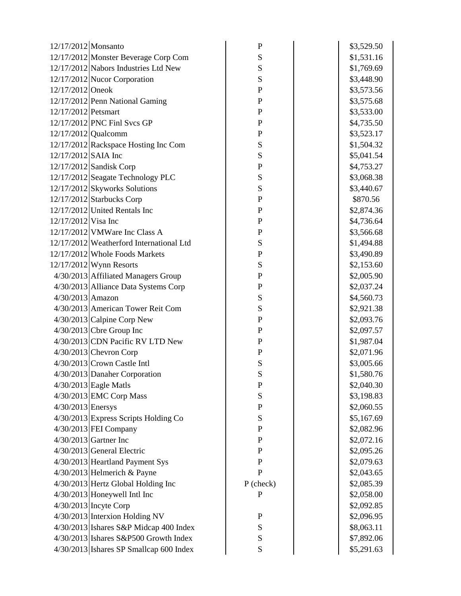| 12/17/2012 Monsanto |                                          | ${\bf P}$    | \$3,529.50 |
|---------------------|------------------------------------------|--------------|------------|
|                     | 12/17/2012 Monster Beverage Corp Com     | S            | \$1,531.16 |
|                     | 12/17/2012 Nabors Industries Ltd New     | S            | \$1,769.69 |
|                     | 12/17/2012 Nucor Corporation             | S            | \$3,448.90 |
| 12/17/2012 Oneok    |                                          | $\mathbf P$  | \$3,573.56 |
|                     | 12/17/2012 Penn National Gaming          | $\mathbf P$  | \$3,575.68 |
| 12/17/2012 Petsmart |                                          | $\mathbf P$  | \$3,533.00 |
|                     | 12/17/2012 PNC Finl Svcs GP              | $\mathbf P$  | \$4,735.50 |
|                     | $12/17/2012$ Qualcomm                    | $\mathbf{P}$ | \$3,523.17 |
|                     | 12/17/2012 Rackspace Hosting Inc Com     | S            | \$1,504.32 |
| 12/17/2012 SAIA Inc |                                          | ${\bf S}$    | \$5,041.54 |
|                     | 12/17/2012 Sandisk Corp                  | $\mathbf P$  | \$4,753.27 |
|                     | 12/17/2012 Seagate Technology PLC        | S            | \$3,068.38 |
|                     | 12/17/2012 Skyworks Solutions            | S            | \$3,440.67 |
|                     | $12/17/2012$ Starbucks Corp              | $\mathbf P$  | \$870.56   |
|                     | $12/17/2012$ United Rentals Inc          | $\mathbf{P}$ | \$2,874.36 |
| 12/17/2012 Visa Inc |                                          | $\mathbf P$  | \$4,736.64 |
|                     | $12/17/2012$ VMW are Inc Class A         | $\mathbf P$  | \$3,566.68 |
|                     | 12/17/2012 Weatherford International Ltd | S            | \$1,494.88 |
|                     | 12/17/2012 Whole Foods Markets           | $\mathbf P$  | \$3,490.89 |
|                     | $12/17/2012$ Wynn Resorts                | S            | \$2,153.60 |
|                     | 4/30/2013 Affiliated Managers Group      | $\mathbf P$  | \$2,005.90 |
|                     | 4/30/2013 Alliance Data Systems Corp     | $\mathbf P$  | \$2,037.24 |
| $4/30/2013$ Amazon  |                                          | S            | \$4,560.73 |
|                     | 4/30/2013 American Tower Reit Com        | S            | \$2,921.38 |
|                     | $4/30/2013$ Calpine Corp New             | $\mathbf P$  | \$2,093.76 |
|                     | $4/30/2013$ Cbre Group Inc               | $\mathbf P$  | \$2,097.57 |
|                     | 4/30/2013 CDN Pacific RV LTD New         | $\mathbf P$  | \$1,987.04 |
|                     | $4/30/2013$ Chevron Corp                 | $\mathbf P$  | \$2,071.96 |
|                     | $4/30/2013$ Crown Castle Intl            | S            | \$3,005.66 |
|                     | 4/30/2013 Danaher Corporation            | S            | \$1,580.76 |
|                     | $4/30/2013$ Eagle Matls                  | $\mathbf P$  | \$2,040.30 |
|                     | 4/30/2013 EMC Corp Mass                  | ${\bf S}$    | \$3,198.83 |
| $4/30/2013$ Enersys |                                          | $\mathbf P$  | \$2,060.55 |
|                     | 4/30/2013 Express Scripts Holding Co     | ${\bf S}$    | \$5,167.69 |
|                     | $4/30/2013$ FEI Company                  | $\mathbf{P}$ | \$2,082.96 |
|                     | $4/30/2013$ Gartner Inc                  | $\mathbf{P}$ | \$2,072.16 |
|                     | $4/30/2013$ General Electric             | $\mathbf P$  | \$2,095.26 |
|                     | 4/30/2013 Heartland Payment Sys          | $\mathbf{P}$ | \$2,079.63 |
|                     | $4/30/2013$ Helmerich & Payne            | $\mathbf P$  | \$2,043.65 |
|                     | 4/30/2013 Hertz Global Holding Inc       | $P$ (check)  | \$2,085.39 |
|                     | $4/30/2013$ Honeywell Intl Inc           | $\mathbf{P}$ | \$2,058.00 |
|                     | $4/30/2013$ Incyte Corp                  |              | \$2,092.85 |
|                     | $4/30/2013$ Interxion Holding NV         | ${\bf P}$    | \$2,096.95 |
|                     | $4/30/2013$ Ishares S&P Midcap 400 Index | ${\bf S}$    | \$8,063.11 |
|                     | $4/30/2013$ Ishares S&P500 Growth Index  | S            | \$7,892.06 |
|                     | 4/30/2013 Ishares SP Smallcap 600 Index  | ${\bf S}$    | \$5,291.63 |
|                     |                                          |              |            |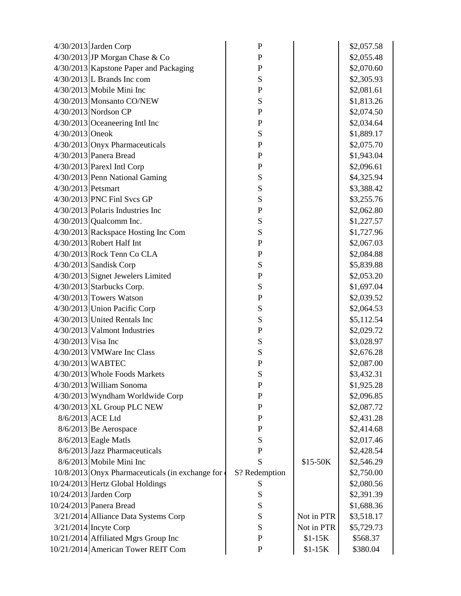|                      | $4/30/2013$ Jarden Corp                         | $\mathbf P$   |            | \$2,057.58 |
|----------------------|-------------------------------------------------|---------------|------------|------------|
|                      | 4/30/2013 JP Morgan Chase & Co                  | $\mathbf{P}$  |            | \$2,055.48 |
|                      | 4/30/2013 Kapstone Paper and Packaging          | $\mathbf{P}$  |            | \$2,070.60 |
|                      | $4/30/2013$ L Brands Inc com                    | S             |            | \$2,305.93 |
|                      | $4/30/2013$ Mobile Mini Inc                     | ${\bf P}$     |            | \$2,081.61 |
|                      | 4/30/2013 Monsanto CO/NEW                       | S             |            | \$1,813.26 |
|                      | 4/30/2013 Nordson CP                            | $\mathbf P$   |            | \$2,074.50 |
|                      | $4/30/2013$ Oceaneering Intl Inc                | $\mathbf{P}$  |            | \$2,034.64 |
| 4/30/2013 Oneok      |                                                 | S             |            | \$1,889.17 |
|                      | 4/30/2013 Onyx Pharmaceuticals                  | $\mathbf P$   |            | \$2,075.70 |
|                      | $4/30/2013$ Panera Bread                        | $\mathbf P$   |            | \$1,943.04 |
|                      | $4/30/2013$ Parexl Intl Corp                    | ${\bf P}$     |            | \$2,096.61 |
|                      | 4/30/2013 Penn National Gaming                  | S             |            | \$4,325.94 |
| 4/30/2013 Petsmart   |                                                 | ${\bf S}$     |            | \$3,388.42 |
|                      | $4/30/2013$ PNC Finl Svcs GP                    | S             |            | \$3,255.76 |
|                      | $4/30/2013$ Polaris Industries Inc              | $\mathbf P$   |            | \$2,062.80 |
|                      | $4/30/2013$ Qualcomm Inc.                       | ${\bf S}$     |            | \$1,227.57 |
|                      | 4/30/2013 Rackspace Hosting Inc Com             | ${\bf S}$     |            | \$1,727.96 |
|                      | 4/30/2013 Robert Half Int                       | $\mathbf P$   |            | \$2,067.03 |
|                      | $4/30/2013$ Rock Tenn Co CLA                    | $\mathbf P$   |            | \$2,084.88 |
|                      | $4/30/2013$ Sandisk Corp                        | S             |            | \$5,839.88 |
|                      | 4/30/2013 Signet Jewelers Limited               | $\mathbf P$   |            | \$2,053.20 |
|                      | $4/30/2013$ Starbucks Corp.                     | ${\bf S}$     |            | \$1,697.04 |
|                      | $4/30/2013$ Towers Watson                       | $\mathbf P$   |            | \$2,039.52 |
|                      | 4/30/2013 Union Pacific Corp                    | S             |            | \$2,064.53 |
|                      | 4/30/2013 United Rentals Inc                    | S             |            | \$5,112.54 |
|                      | $4/30/2013$ Valmont Industries                  | ${\bf P}$     |            | \$2,029.72 |
| $4/30/2013$ Visa Inc |                                                 | S             |            | \$3,028.97 |
|                      | $4/30/2013$ VMW are Inc Class                   | ${\bf S}$     |            | \$2,676.28 |
|                      | 4/30/2013 WABTEC                                | $\mathbf P$   |            | \$2,087.00 |
|                      | 4/30/2013 Whole Foods Markets                   | S             |            | \$3,432.31 |
|                      | $4/30/2013$ William Sonoma                      | ${\bf P}$     |            | \$1,925.28 |
|                      | $4/30/2013$ Wyndham Worldwide Corp              | ${\bf P}$     |            | \$2,096.85 |
|                      | $4/30/2013$ XL Group PLC NEW                    | $\mathbf P$   |            | \$2,087.72 |
|                      | 8/6/2013 ACE Ltd                                | $\mathbf P$   |            | \$2,431.28 |
|                      | $8/6/2013$ Be Aerospace                         | ${\bf P}$     |            | \$2,414.68 |
|                      | $8/6/2013$ Eagle Matls                          | ${\bf S}$     |            | \$2,017.46 |
|                      | 8/6/2013 Jazz Pharmaceuticals                   | $\mathbf P$   |            | \$2,428.54 |
|                      | 8/6/2013 Mobile Mini Inc                        | S             | \$15-50K   | \$2,546.29 |
|                      | 10/8/2013 Onyx Pharmaceuticals (in exchange for | S? Redemption |            | \$2,750.00 |
|                      | 10/24/2013 Hertz Global Holdings                | S             |            | \$2,080.56 |
|                      | 10/24/2013 Jarden Corp                          | S             |            | \$2,391.39 |
|                      | 10/24/2013 Panera Bread                         | S             |            | \$1,688.36 |
|                      | 3/21/2014 Alliance Data Systems Corp            | S             | Not in PTR | \$3,518.17 |
|                      | $3/21/2014$ Incyte Corp                         | S             | Not in PTR | \$5,729.73 |
|                      | 10/21/2014 Affiliated Mgrs Group Inc            | $\mathbf P$   | $$1-15K$   | \$568.37   |
|                      | 10/21/2014 American Tower REIT Com              | $\mathbf P$   | $$1-15K$   | \$380.04   |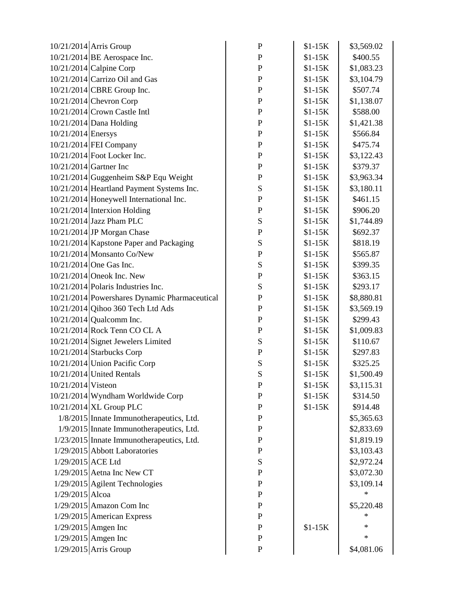|                    | 10/21/2014 Arris Group                        | $\mathbf{P}$ | $$1-15K$ | \$3,569.02 |
|--------------------|-----------------------------------------------|--------------|----------|------------|
|                    | $10/21/2014$ BE Aerospace Inc.                | ${\bf P}$    | $$1-15K$ | \$400.55   |
|                    | $10/21/2014$ Calpine Corp                     | $\mathbf P$  | $$1-15K$ | \$1,083.23 |
|                    | 10/21/2014 Carrizo Oil and Gas                | $\mathbf{P}$ | $$1-15K$ | \$3,104.79 |
|                    | 10/21/2014 CBRE Group Inc.                    | $\mathbf{P}$ | $$1-15K$ | \$507.74   |
|                    | $10/21/2014$ Chevron Corp                     | $\mathbf P$  | $$1-15K$ | \$1,138.07 |
|                    | $10/21/2014$ Crown Castle Intl                | $\mathbf P$  | $$1-15K$ | \$588.00   |
|                    | 10/21/2014 Dana Holding                       | $\mathbf P$  | $$1-15K$ | \$1,421.38 |
| 10/21/2014 Enersys |                                               | $\mathbf{P}$ | $$1-15K$ | \$566.84   |
|                    | 10/21/2014 FEI Company                        | $\mathbf P$  | $$1-15K$ | \$475.74   |
|                    | 10/21/2014 Foot Locker Inc.                   | $\mathbf P$  | $$1-15K$ | \$3,122.43 |
|                    | $10/21/2014$ Gartner Inc                      | ${\bf P}$    | $$1-15K$ | \$379.37   |
|                    | 10/21/2014 Guggenheim S&P Equ Weight          | ${\bf P}$    | $$1-15K$ | \$3,963.34 |
|                    | 10/21/2014 Heartland Payment Systems Inc.     | S            | $$1-15K$ | \$3,180.11 |
|                    | 10/21/2014 Honeywell International Inc.       | $\mathbf{P}$ | $$1-15K$ | \$461.15   |
|                    | $10/21/2014$ Interxion Holding                | $\mathbf{P}$ | $$1-15K$ | \$906.20   |
|                    | $10/21/2014$ Jazz Pham PLC                    | S            | $$1-15K$ | \$1,744.89 |
|                    | $10/21/2014$ JP Morgan Chase                  | ${\bf P}$    | $$1-15K$ | \$692.37   |
|                    | 10/21/2014 Kapstone Paper and Packaging       | ${\bf S}$    | $$1-15K$ | \$818.19   |
|                    | 10/21/2014 Monsanto Co/New                    | ${\bf P}$    | $$1-15K$ | \$565.87   |
|                    | $10/21/2014$ One Gas Inc.                     | S            | $$1-15K$ | \$399.35   |
|                    | $10/21/2014$ Oneok Inc. New                   | ${\bf P}$    | $$1-15K$ | \$363.15   |
|                    | $10/21/2014$ Polaris Industries Inc.          | ${\bf S}$    | $$1-15K$ | \$293.17   |
|                    | 10/21/2014 Powershares Dynamic Pharmaceutical | $\mathbf{P}$ | $$1-15K$ | \$8,880.81 |
|                    | 10/21/2014 Qihoo 360 Tech Ltd Ads             | $\mathbf{P}$ | $$1-15K$ | \$3,569.19 |
|                    | $10/21/2014$ Qualcomm Inc.                    | $\mathbf{P}$ | $$1-15K$ | \$299.43   |
|                    | 10/21/2014 Rock Tenn CO CL A                  | ${\bf P}$    | $$1-15K$ | \$1,009.83 |
|                    | 10/21/2014 Signet Jewelers Limited            | ${\bf S}$    | $$1-15K$ | \$110.67   |
|                    | $10/21/2014$ Starbucks Corp                   | ${\bf P}$    | $$1-15K$ | \$297.83   |
|                    | 10/21/2014 Union Pacific Corp                 | ${\bf S}$    | $$1-15K$ | \$325.25   |
|                    | 10/21/2014 United Rentals                     | S            | $$1-15K$ | \$1,500.49 |
| 10/21/2014 Visteon |                                               | ${\bf P}$    | $$1-15K$ | \$3,115.31 |
|                    | 10/21/2014 Wyndham Worldwide Corp             | ${\bf P}$    | $$1-15K$ | \$314.50   |
|                    | 10/21/2014 XL Group PLC                       | $\mathbf{P}$ | $$1-15K$ | \$914.48   |
|                    | 1/8/2015 Innate Immunotherapeutics, Ltd.      | ${\bf P}$    |          | \$5,365.63 |
|                    | 1/9/2015 Innate Immunotherapeutics, Ltd.      | $\mathbf{P}$ |          | \$2,833.69 |
|                    | 1/23/2015 Innate Immunotherapeutics, Ltd.     | $\mathbf{P}$ |          | \$1,819.19 |
|                    | 1/29/2015 Abbott Laboratories                 | ${\bf P}$    |          | \$3,103.43 |
| 1/29/2015 ACE Ltd  |                                               | S            |          | \$2,972.24 |
|                    | $1/29/2015$ Aetna Inc New CT                  | ${\bf P}$    |          | \$3,072.30 |
|                    | 1/29/2015 Agilent Technologies                | $\mathbf{P}$ |          | \$3,109.14 |
| $1/29/2015$ Alcoa  |                                               | $\mathbf P$  |          | $\ast$     |
|                    | $1/29/2015$ Amazon Com Inc                    | $\mathbf{P}$ |          | \$5,220.48 |
|                    | 1/29/2015 American Express                    | $\mathbf{P}$ |          | ∗          |
|                    | $1/29/2015$ Amgen Inc                         | ${\bf P}$    | $$1-15K$ | ∗          |
|                    | $1/29/2015$ Amgen Inc                         | $\mathbf{P}$ |          | $\ast$     |
|                    | 1/29/2015 Arris Group                         | $\mathbf P$  |          | \$4,081.06 |
|                    |                                               |              |          |            |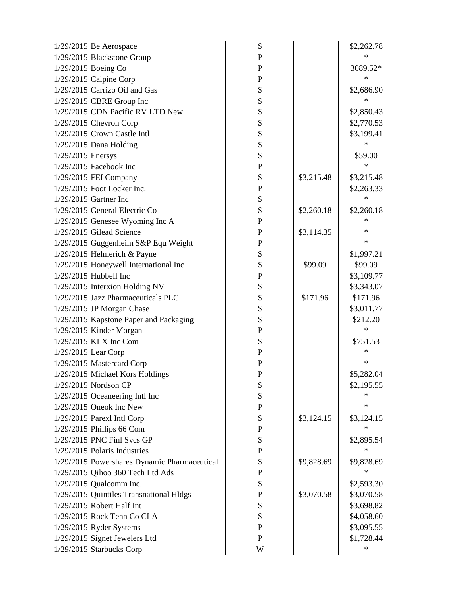|                     | $1/29/2015$ Be Aerospace                     | ${\bf S}$   |            | \$2,262.78 |
|---------------------|----------------------------------------------|-------------|------------|------------|
|                     | 1/29/2015 Blackstone Group                   | ${\bf P}$   |            | ж          |
|                     | $1/29/2015$ Boeing Co                        | ${\bf P}$   |            | 3089.52*   |
|                     | $1/29/2015$ Calpine Corp                     | ${\bf P}$   |            | ∗          |
|                     | $1/29/2015$ Carrizo Oil and Gas              | ${\bf S}$   |            | \$2,686.90 |
|                     | $1/29/2015$ CBRE Group Inc                   | ${\bf S}$   |            | *          |
|                     | 1/29/2015 CDN Pacific RV LTD New             | S           |            | \$2,850.43 |
|                     | $1/29/2015$ Chevron Corp                     | ${\bf S}$   |            | \$2,770.53 |
|                     | $1/29/2015$ Crown Castle Intl                | ${\bf S}$   |            | \$3,199.41 |
|                     | $1/29/2015$ Dana Holding                     | ${\bf S}$   |            | $\ast$     |
| $1/29/2015$ Enersys |                                              | ${\bf S}$   |            | \$59.00    |
|                     | $1/29/2015$ Facebook Inc                     | ${\bf P}$   |            | ∗          |
|                     | 1/29/2015 FEI Company                        | S           | \$3,215.48 | \$3,215.48 |
|                     | $1/29/2015$ Foot Locker Inc.                 | ${\bf P}$   |            | \$2,263.33 |
|                     | $1/29/2015$ Gartner Inc                      | ${\bf S}$   |            | $\ast$     |
|                     | $1/29/2015$ General Electric Co              | ${\bf S}$   | \$2,260.18 | \$2,260.18 |
|                     | $1/29/2015$ Genesee Wyoming Inc A            | ${\bf P}$   |            | ∗          |
|                     | $1/29/2015$ Gilead Science                   | ${\bf P}$   | \$3,114.35 | ∗          |
|                     | $1/29/2015$ Guggenheim S&P Equ Weight        | $\mathbf P$ |            | ∗          |
|                     | $1/29/2015$ Helmerich & Payne                | ${\bf S}$   |            | \$1,997.21 |
|                     | $1/29/2015$ Honeywell International Inc      | S           | \$99.09    | \$99.09    |
|                     | $1/29/2015$ Hubbell Inc                      | ${\bf P}$   |            | \$3,109.77 |
|                     | 1/29/2015 Interxion Holding NV               | ${\bf S}$   |            | \$3,343.07 |
|                     | 1/29/2015 Jazz Pharmaceuticals PLC           | ${\bf S}$   | \$171.96   | \$171.96   |
|                     | 1/29/2015 JP Morgan Chase                    | ${\bf S}$   |            | \$3,011.77 |
|                     | 1/29/2015 Kapstone Paper and Packaging       | S           |            | \$212.20   |
|                     | $1/29/2015$ Kinder Morgan                    | ${\bf P}$   |            | *          |
|                     | $1/29/2015$ KLX Inc Com                      | ${\bf S}$   |            | \$751.53   |
|                     | $1/29/2015$ Lear Corp                        | $\mathbf P$ |            | ∗          |
|                     | 1/29/2015 Mastercard Corp                    | ${\bf P}$   |            | ∗          |
|                     | 1/29/2015 Michael Kors Holdings              | $\mathbf P$ |            | \$5,282.04 |
|                     | 1/29/2015 Nordson CP                         | ${\bf S}$   |            | \$2,195.55 |
|                     | $1/29/2015$ Oceaneering Intl Inc             | ${\bf S}$   |            | ∗          |
|                     | $1/29/2015$ Oneok Inc New                    | ${\bf P}$   |            | $\ast$     |
|                     | 1/29/2015 Parexl Intl Corp                   | ${\bf S}$   | \$3,124.15 | \$3,124.15 |
|                     | $1/29/2015$ Phillips 66 Com                  | ${\bf P}$   |            | ∗          |
|                     | $1/29/2015$ PNC Finl Svcs GP                 | ${\bf S}$   |            | \$2,895.54 |
|                     | $1/29/2015$ Polaris Industries               | ${\bf P}$   |            | ∗          |
|                     | 1/29/2015 Powershares Dynamic Pharmaceutical | S           | \$9,828.69 | \$9,828.69 |
|                     | 1/29/2015 Qihoo 360 Tech Ltd Ads             | ${\bf P}$   |            | ∗          |
|                     | $1/29/2015$ Qualcomm Inc.                    | ${\bf S}$   |            | \$2,593.30 |
|                     | $1/29/2015$ Quintiles Transnational Hldgs    | $\mathbf P$ | \$3,070.58 | \$3,070.58 |
|                     | $1/29/2015$ Robert Half Int                  | ${\bf S}$   |            | \$3,698.82 |
|                     | $1/29/2015$ Rock Tenn Co CLA                 | ${\bf S}$   |            | \$4,058.60 |
|                     | $1/29/2015$ Ryder Systems                    | ${\bf P}$   |            | \$3,095.55 |
|                     | 1/29/2015 Signet Jewelers Ltd                | ${\bf P}$   |            | \$1,728.44 |
|                     | 1/29/2015 Starbucks Corp                     | W           |            | ∗          |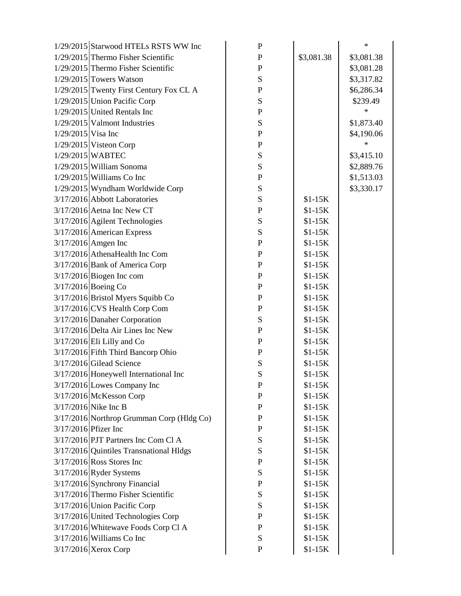|                      | 1/29/2015 Starwood HTELs RSTS WW Inc      | ${\bf P}$   |            | $\ast$     |
|----------------------|-------------------------------------------|-------------|------------|------------|
|                      | 1/29/2015 Thermo Fisher Scientific        | ${\bf P}$   | \$3,081.38 | \$3,081.38 |
|                      | 1/29/2015 Thermo Fisher Scientific        | ${\bf P}$   |            | \$3,081.28 |
|                      | $1/29/2015$ Towers Watson                 | ${\bf S}$   |            | \$3,317.82 |
|                      | 1/29/2015 Twenty First Century Fox CL A   | ${\bf P}$   |            | \$6,286.34 |
|                      | 1/29/2015 Union Pacific Corp              | ${\bf S}$   |            | \$239.49   |
|                      | $1/29/2015$ United Rentals Inc            | ${\bf P}$   |            | $\ast$     |
|                      | $1/29/2015$ Valmont Industries            | ${\bf S}$   |            | \$1,873.40 |
| $1/29/2015$ Visa Inc |                                           | ${\bf P}$   |            | \$4,190.06 |
|                      | $1/29/2015$ Visteon Corp                  | ${\bf P}$   |            | $\ast$     |
|                      | 1/29/2015 WABTEC                          | ${\bf S}$   |            | \$3,415.10 |
|                      | $1/29/2015$ William Sonoma                | ${\bf S}$   |            | \$2,889.76 |
|                      | $1/29/2015$ Williams Co Inc               | ${\bf P}$   |            | \$1,513.03 |
|                      | $1/29/2015$ Wyndham Worldwide Corp        | S           |            | \$3,330.17 |
|                      | 3/17/2016 Abbott Laboratories             | ${\bf S}$   | $$1-15K$   |            |
|                      | $3/17/2016$ Aetna Inc New CT              | ${\bf P}$   | $$1-15K$   |            |
|                      | 3/17/2016 Agilent Technologies            | ${\bf S}$   | $$1-15K$   |            |
|                      | $3/17/2016$ American Express              | ${\bf S}$   | $$1-15K$   |            |
|                      | 3/17/2016 Amgen Inc                       | ${\bf P}$   | $$1-15K$   |            |
|                      | $3/17/2016$ AthenaHealth Inc Com          | ${\bf P}$   | $$1-15K$   |            |
|                      | 3/17/2016 Bank of America Corp            | ${\bf P}$   | $$1-15K$   |            |
|                      | $3/17/2016$ Biogen Inc com                | ${\bf P}$   | $$1-15K$   |            |
|                      | 3/17/2016 Boeing Co                       | ${\bf P}$   | $$1-15K$   |            |
|                      | 3/17/2016 Bristol Myers Squibb Co         | ${\bf P}$   | $$1-15K$   |            |
|                      | 3/17/2016 CVS Health Corp Com             | ${\bf P}$   | $$1-15K$   |            |
|                      | 3/17/2016 Danaher Corporation             | S           | $$1-15K$   |            |
|                      | 3/17/2016 Delta Air Lines Inc New         | ${\bf P}$   | $$1-15K$   |            |
|                      | 3/17/2016 Eli Lilly and Co                | ${\bf P}$   | $$1-15K$   |            |
|                      | 3/17/2016 Fifth Third Bancorp Ohio        | ${\bf P}$   | $$1-15K$   |            |
|                      | $3/17/2016$ Gilead Science                | ${\bf S}$   | $$1-15K$   |            |
|                      | 3/17/2016 Honeywell International Inc     | S           | $$1-15K$   |            |
|                      | $3/17/2016$ Lowes Company Inc             | $\mathbf P$ | $$1-15K$   |            |
|                      | 3/17/2016 McKesson Corp                   | P           | $$1-15K$   |            |
|                      | $3/17/2016$ Nike Inc B                    | P           | $$1-15K$   |            |
|                      | 3/17/2016 Northrop Grumman Corp (Hldg Co) | P           | $$1-15K$   |            |
| 3/17/2016 Pfizer Inc |                                           | P           | $$1-15K$   |            |
|                      | 3/17/2016 PJT Partners Inc Com Cl A       | ${\bf S}$   | $$1-15K$   |            |
|                      | 3/17/2016 Quintiles Transnational Hldgs   | ${\bf S}$   | $$1-15K$   |            |
|                      | $3/17/2016$ Ross Stores Inc               | ${\bf P}$   | $$1-15K$   |            |
|                      | $3/17/2016$ Ryder Systems                 | ${\bf S}$   | $$1-15K$   |            |
|                      | 3/17/2016 Synchrony Financial             | ${\bf P}$   | $$1-15K$   |            |
|                      | 3/17/2016 Thermo Fisher Scientific        | ${\bf S}$   | $$1-15K$   |            |
|                      | 3/17/2016 Union Pacific Corp              | ${\bf S}$   | $$1-15K$   |            |
|                      | 3/17/2016 United Technologies Corp        | P           | $$1-15K$   |            |
|                      | 3/17/2016 Whitewave Foods Corp Cl A       | P           | $$1-15K$   |            |
|                      | $3/17/2016$ Williams Co Inc               | ${\bf S}$   | $$1-15K$   |            |
|                      | 3/17/2016 Xerox Corp                      | ${\bf P}$   | $$1-15K$   |            |